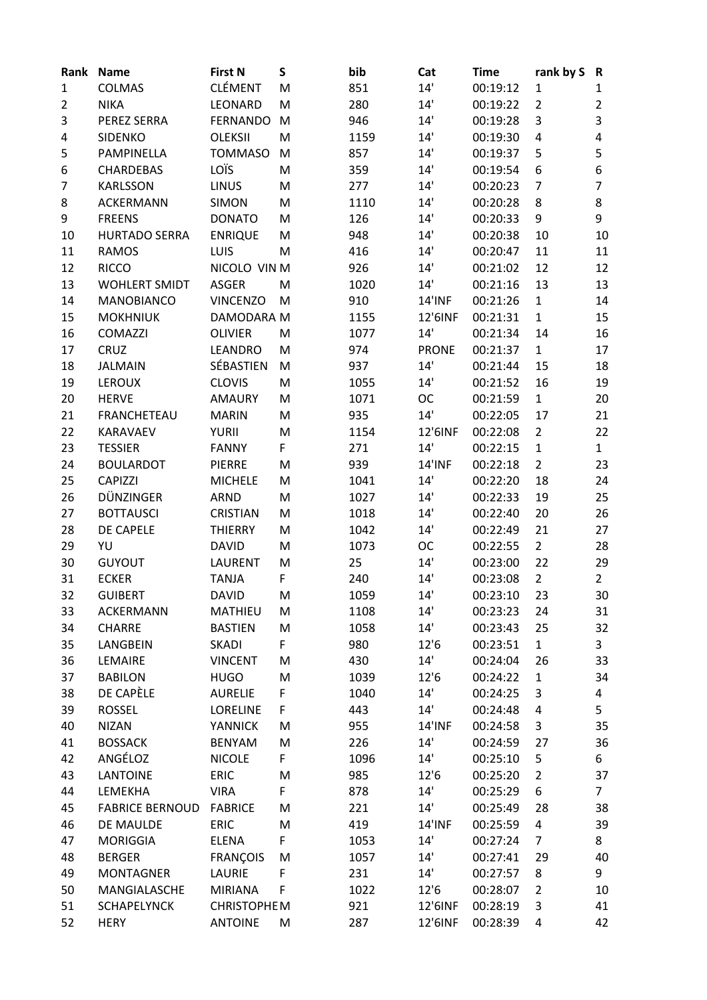| Rank | <b>Name</b>            | <b>First N</b>     | S | bib  | Cat           | <b>Time</b> | rank by S      | R              |
|------|------------------------|--------------------|---|------|---------------|-------------|----------------|----------------|
| 1    | COLMAS                 | <b>CLÉMENT</b>     | M | 851  | 14'           | 00:19:12    | 1              | 1              |
| 2    | <b>NIKA</b>            | LEONARD            | M | 280  | 14'           | 00:19:22    | $\overline{2}$ | $\overline{2}$ |
| 3    | PEREZ SERRA            | <b>FERNANDO</b>    | M | 946  | 14'           | 00:19:28    | 3              | 3              |
| 4    | <b>SIDENKO</b>         | <b>OLEKSII</b>     | M | 1159 | 14'           | 00:19:30    | 4              | 4              |
| 5    | PAMPINELLA             | <b>TOMMASO</b>     | M | 857  | 14'           | 00:19:37    | 5              | 5              |
| 6    | <b>CHARDEBAS</b>       | LOÏS               | M | 359  | 14'           | 00:19:54    | 6              | 6              |
| 7    | <b>KARLSSON</b>        | <b>LINUS</b>       | M | 277  | 14'           | 00:20:23    | $\overline{7}$ | $\overline{7}$ |
| 8    | <b>ACKERMANN</b>       | <b>SIMON</b>       | M | 1110 | 14'           | 00:20:28    | 8              | 8              |
| 9    | <b>FREENS</b>          | <b>DONATO</b>      | M | 126  | 14'           | 00:20:33    | 9              | 9              |
| 10   | <b>HURTADO SERRA</b>   | <b>ENRIQUE</b>     | M | 948  | 14'           | 00:20:38    | 10             | 10             |
| 11   | <b>RAMOS</b>           | LUIS               | M | 416  | 14'           | 00:20:47    | 11             | 11             |
| 12   | <b>RICCO</b>           | NICOLO VIN M       |   | 926  | 14'           | 00:21:02    | 12             | 12             |
| 13   | <b>WOHLERT SMIDT</b>   | <b>ASGER</b>       | M | 1020 | 14'           | 00:21:16    | 13             | 13             |
| 14   | <b>MANOBIANCO</b>      | <b>VINCENZO</b>    | M | 910  | <b>14'INF</b> | 00:21:26    | $\mathbf{1}$   | 14             |
| 15   | <b>MOKHNIUK</b>        | DAMODARA M         |   | 1155 | 12'6INF       | 00:21:31    | $\mathbf{1}$   | 15             |
| 16   | <b>COMAZZI</b>         | <b>OLIVIER</b>     | M | 1077 | 14'           | 00:21:34    | 14             | 16             |
| 17   | CRUZ                   | <b>LEANDRO</b>     | M | 974  | <b>PRONE</b>  | 00:21:37    | $\mathbf{1}$   | 17             |
| 18   | <b>JALMAIN</b>         | SÉBASTIEN          | M | 937  | 14'           | 00:21:44    | 15             | 18             |
| 19   | <b>LEROUX</b>          | <b>CLOVIS</b>      | M | 1055 | 14'           | 00:21:52    | 16             | 19             |
| 20   | <b>HERVE</b>           | <b>AMAURY</b>      | M | 1071 | <b>OC</b>     | 00:21:59    | $\mathbf{1}$   | 20             |
| 21   | <b>FRANCHETEAU</b>     | <b>MARIN</b>       | M | 935  | 14'           | 00:22:05    | 17             | 21             |
| 22   | KARAVAEV               | <b>YURII</b>       | M | 1154 | 12'6INF       | 00:22:08    | $\overline{2}$ | 22             |
| 23   | <b>TESSIER</b>         | <b>FANNY</b>       | F | 271  | 14'           | 00:22:15    | $\mathbf{1}$   | $\mathbf{1}$   |
| 24   | <b>BOULARDOT</b>       | <b>PIERRE</b>      | M | 939  | <b>14'INF</b> | 00:22:18    | $\overline{2}$ | 23             |
| 25   | <b>CAPIZZI</b>         | <b>MICHELE</b>     | M | 1041 | 14'           | 00:22:20    | 18             | 24             |
| 26   | DÜNZINGER              | <b>ARND</b>        | M | 1027 | 14'           | 00:22:33    | 19             | 25             |
| 27   | <b>BOTTAUSCI</b>       | <b>CRISTIAN</b>    | M | 1018 | 14'           | 00:22:40    | 20             | 26             |
| 28   | DE CAPELE              | <b>THIERRY</b>     | M | 1042 | 14'           | 00:22:49    | 21             | 27             |
| 29   | YU                     | <b>DAVID</b>       | M | 1073 | ОC            | 00:22:55    | $\overline{2}$ | 28             |
| 30   | <b>GUYOUT</b>          | <b>LAURENT</b>     | M | 25   | 14'           | 00:23:00    | 22             | 29             |
| 31   | <b>ECKER</b>           | <b>TANJA</b>       | F | 240  | 14'           | 00:23:08    | $\overline{2}$ | $\overline{2}$ |
| 32   | <b>GUIBERT</b>         | <b>DAVID</b>       | M | 1059 | 14'           | 00:23:10    | 23             | 30             |
| 33   | ACKERMANN              | <b>MATHIEU</b>     | M | 1108 | 14'           | 00:23:23    | 24             | 31             |
| 34   | <b>CHARRE</b>          | <b>BASTIEN</b>     | M | 1058 | 14'           | 00:23:43    | 25             | 32             |
| 35   | LANGBEIN               | <b>SKADI</b>       | F | 980  | 12'6          | 00:23:51    | $\mathbf{1}$   | 3              |
| 36   | LEMAIRE                | <b>VINCENT</b>     | M | 430  | 14'           | 00:24:04    | 26             | 33             |
| 37   | <b>BABILON</b>         | <b>HUGO</b>        | M | 1039 | 12'6          | 00:24:22    | $\mathbf{1}$   | 34             |
| 38   | DE CAPÈLE              | <b>AURELIE</b>     | F | 1040 | 14'           | 00:24:25    | 3              | 4              |
| 39   | <b>ROSSEL</b>          | <b>LORELINE</b>    | F | 443  | 14'           | 00:24:48    | 4              | 5              |
| 40   | <b>NIZAN</b>           | <b>YANNICK</b>     | M | 955  | <b>14'INF</b> | 00:24:58    | 3              | 35             |
| 41   | <b>BOSSACK</b>         | <b>BENYAM</b>      | M | 226  | 14'           | 00:24:59    | 27             | 36             |
| 42   | ANGÉLOZ                | <b>NICOLE</b>      | F | 1096 | 14'           | 00:25:10    | 5              | 6              |
| 43   | <b>LANTOINE</b>        | <b>ERIC</b>        | M | 985  | 12'6          | 00:25:20    | $\overline{2}$ | 37             |
| 44   | LEMEKHA                | <b>VIRA</b>        | F | 878  | 14'           | 00:25:29    | 6              | $\overline{7}$ |
| 45   | <b>FABRICE BERNOUD</b> | <b>FABRICE</b>     | M | 221  | 14'           | 00:25:49    | 28             | 38             |
| 46   | DE MAULDE              | ERIC               | M | 419  | <b>14'INF</b> | 00:25:59    | 4              | 39             |
| 47   | <b>MORIGGIA</b>        | <b>ELENA</b>       | F | 1053 | 14'           | 00:27:24    | $\overline{7}$ | 8              |
| 48   | <b>BERGER</b>          | <b>FRANÇOIS</b>    | M | 1057 | 14'           | 00:27:41    | 29             | 40             |
| 49   | <b>MONTAGNER</b>       | LAURIE             | F | 231  | 14'           | 00:27:57    | 8              | 9              |
| 50   | MANGIALASCHE           | <b>MIRIANA</b>     | F | 1022 | 12'6          | 00:28:07    | $\overline{2}$ | 10             |
| 51   | <b>SCHAPELYNCK</b>     | <b>CHRISTOPHEM</b> |   | 921  | 12'6INF       | 00:28:19    | 3              | 41             |
| 52   | <b>HERY</b>            | <b>ANTOINE</b>     | M | 287  | 12'6INF       | 00:28:39    | 4              | 42             |
|      |                        |                    |   |      |               |             |                |                |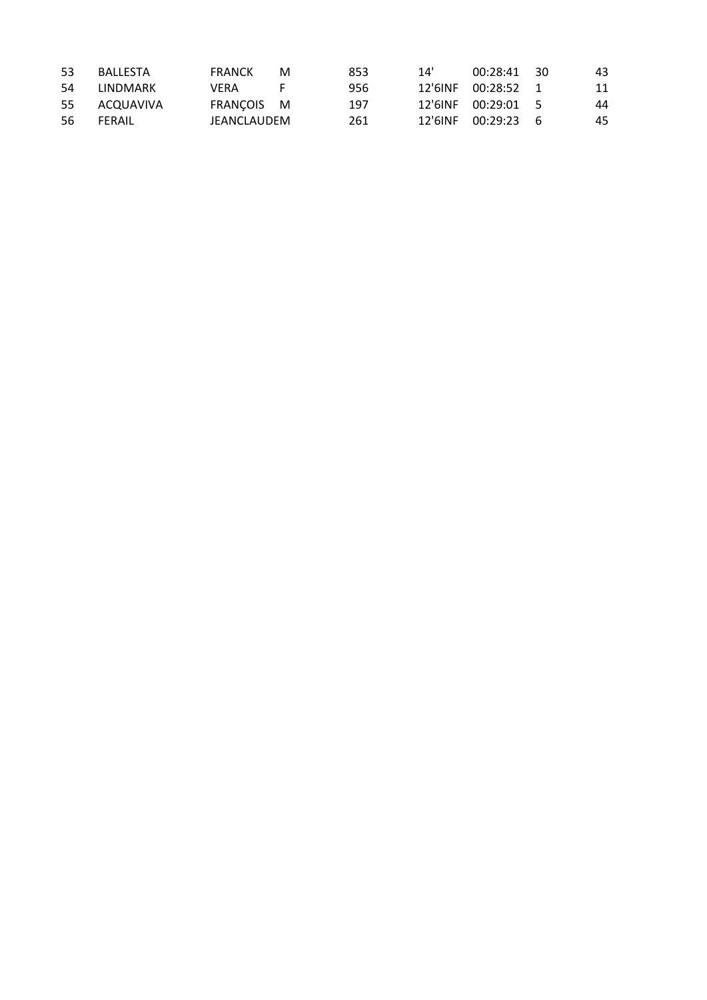| 53  | <b>BALLESTA</b> | <b>FRANCK</b> | м | 853 | 14'     | 00:28:41 30        |     | 43 |
|-----|-----------------|---------------|---|-----|---------|--------------------|-----|----|
| -54 | LINDMARK        | VFRA          |   | 956 | 12'6INF | $00:28:52$ 1       |     | 11 |
| 55  | ACQUAVIVA       | FRANCOIS M    |   | 197 |         | 12'6INF 00:29:01 5 |     | 44 |
| -56 | FFRAIL          | JEANCLAUDEM   |   | 261 | 12'6INF | 00:29:23           | - 6 | 45 |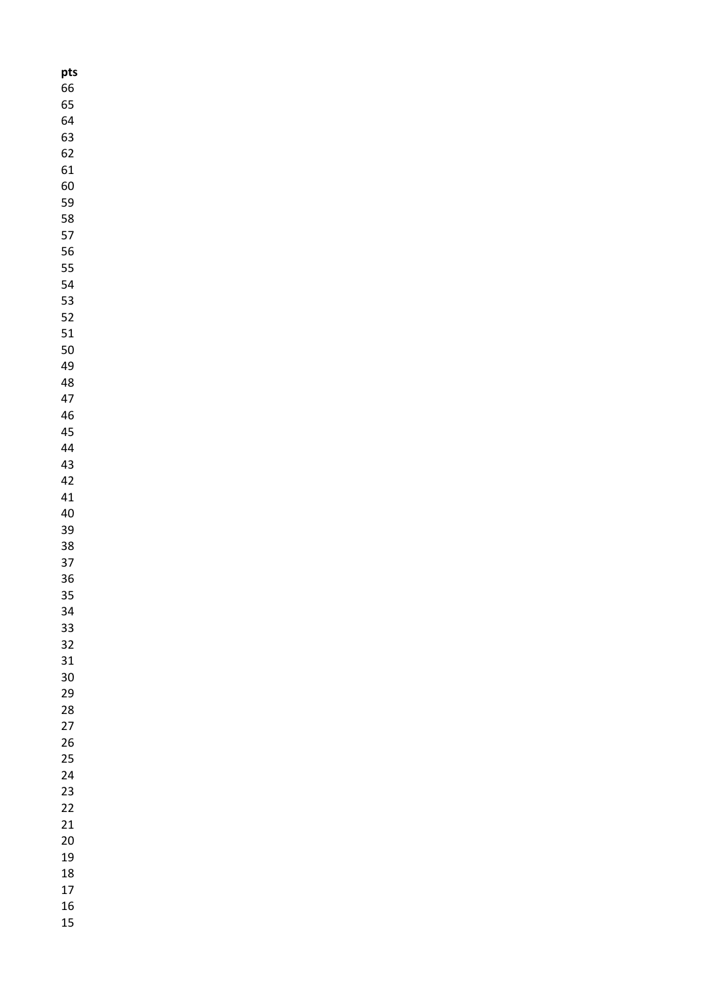| pts |  |
|-----|--|
| 66  |  |
| 65  |  |
| 64  |  |
| 63  |  |
| 62  |  |
| 61  |  |
| 60  |  |
| 59  |  |
| 58  |  |
| 57  |  |
| 56  |  |
| 55  |  |
| 54  |  |
| 53  |  |
| 52  |  |
| 51  |  |
| 50  |  |
| 49  |  |
| 48  |  |
| 47  |  |
| 46  |  |
| 45  |  |
| 44  |  |
| 43  |  |
| 42  |  |
| 41  |  |
| 40  |  |
| 39  |  |
| 38  |  |
| 37  |  |
| 36  |  |
| 35  |  |
| 34  |  |
| 33  |  |
| 32  |  |
| 31  |  |
| 30  |  |
| 29  |  |
| 28  |  |
| 27  |  |
| 26  |  |
| 25  |  |
| 24  |  |
| 23  |  |
| 22  |  |
| 21  |  |
| 20  |  |
| 19  |  |
| 18  |  |
| 17  |  |
| 16  |  |
| 15  |  |